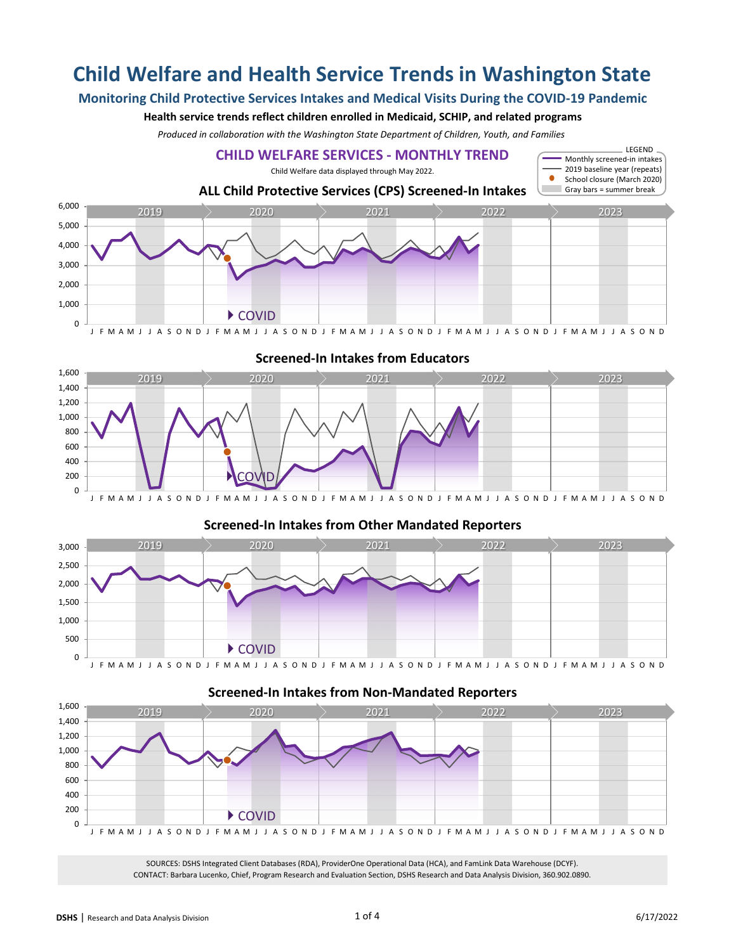# **Child Welfare and Health Service Trends in Washington State**

# **Monitoring Child Protective Services Intakes and Medical Visits During the COVID-19 Pandemic**

### **Health service trends reflect children enrolled in Medicaid, SCHIP, and related programs**

*Produced in collaboration with the Washington State Department of Children, Youth, and Families*





## **Screened-In Intakes from Other Mandated Reporters** 500 1,000 1,500 2,000 2,500 3,000  $\begin{array}{|c|c|c|c|c|}\hline \text{2019} & \text{2020} & \text{2021} & \text{2022} & \text{2023} \ \hline \end{array}$



## **Screened-In Intakes from Non-Mandated Reporters**

▶ COVID

J F M A M J J A S O N D J F M A M J J A S O N D J F M A M J J A S O N D J F M A M J J A S O N D J F M A M J J A S O N D

SOURCES: DSHS Integrated Client Databases (RDA), ProviderOne Operational Data (HCA), and FamLink Data Warehouse (DCYF). CONTACT: Barbara Lucenko, Chief, Program Research and Evaluation Section, DSHS Research and Data Analysis Division, 360.902.0890.

## **Screened-In Intakes from Educators**

0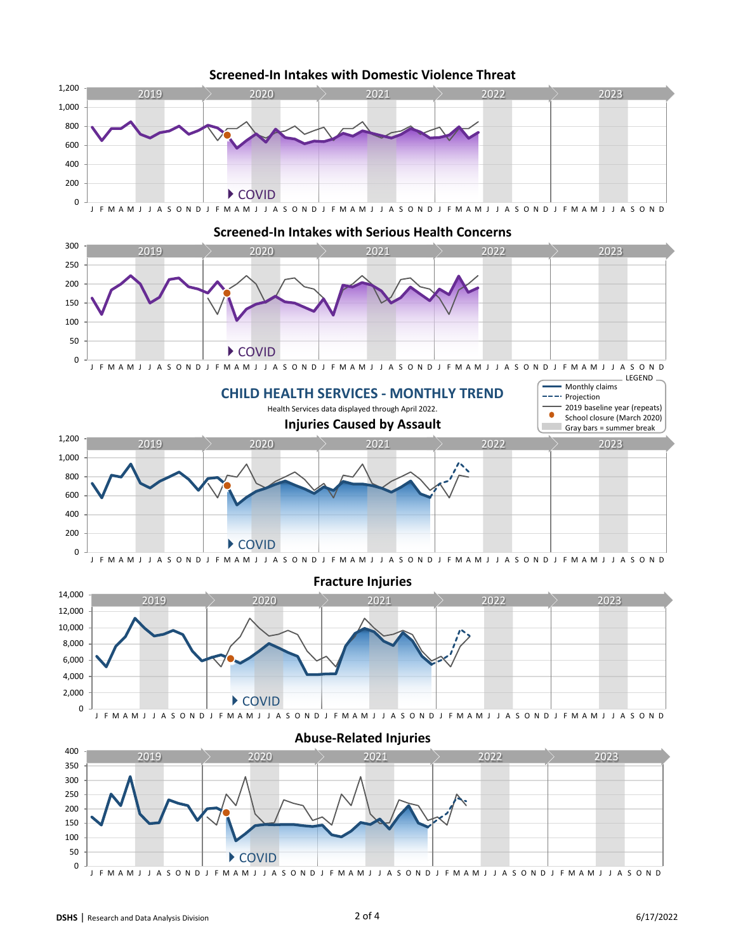

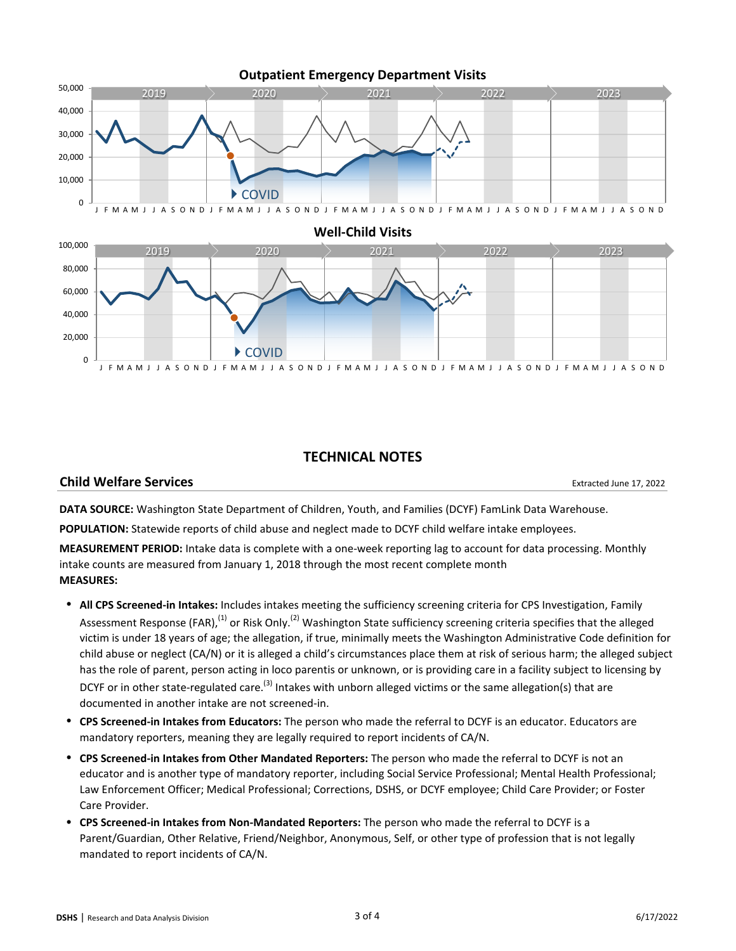

## **TECHNICAL NOTES**

## **Child Welfare Services**

Extracted June 17, 2022

**DATA SOURCE:** Washington State Department of Children, Youth, and Families (DCYF) FamLink Data Warehouse.

**POPULATION:** Statewide reports of child abuse and neglect made to DCYF child welfare intake employees.

**MEASUREMENT PERIOD:** Intake data is complete with a one-week reporting lag to account for data processing. Monthly intake counts are measured from January 1, 2018 through the most recent complete month **MEASURES:**

- **All CPS Screened-in Intakes:** Includes intakes meeting the sufficiency screening criteria for CPS Investigation, Family Assessment Response (FAR),<sup>(1)</sup> or Risk Only.<sup>(2)</sup> Washington State sufficiency screening criteria specifies that the alleged victim is under 18 years of age; the allegation, if true, minimally meets the Washington Administrative Code definition for child abuse or neglect (CA/N) or it is alleged a child's circumstances place them at risk of serious harm; the alleged subject has the role of parent, person acting in loco parentis or unknown, or is providing care in a facility subject to licensing by DCYF or in other state-regulated care.<sup>(3)</sup> Intakes with unborn alleged victims or the same allegation(s) that are documented in another intake are not screened-in.
- **CPS Screened-in Intakes from Educators:** The person who made the referral to DCYF is an educator. Educators are mandatory reporters, meaning they are legally required to report incidents of CA/N.
- **CPS Screened-in Intakes from Other Mandated Reporters:** The person who made the referral to DCYF is not an educator and is another type of mandatory reporter, including Social Service Professional; Mental Health Professional; Law Enforcement Officer; Medical Professional; Corrections, DSHS, or DCYF employee; Child Care Provider; or Foster Care Provider.
- **CPS Screened-in Intakes from Non-Mandated Reporters:** The person who made the referral to DCYF is a Parent/Guardian, Other Relative, Friend/Neighbor, Anonymous, Self, or other type of profession that is not legally mandated to report incidents of CA/N.